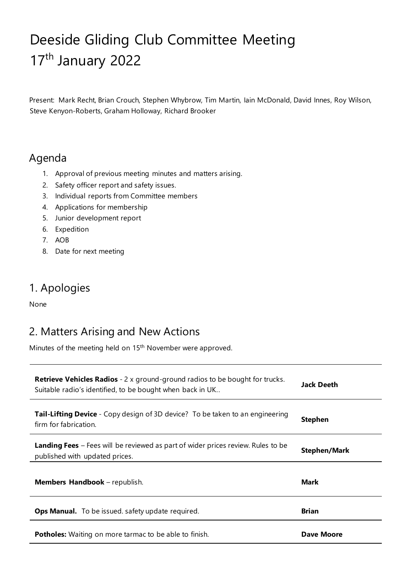# Deeside Gliding Club Committee Meeting 17<sup>th</sup> January 2022

Present: Mark Recht, Brian Crouch, Stephen Whybrow, Tim Martin, Iain McDonald, David Innes, Roy Wilson, Steve Kenyon-Roberts, Graham Holloway, Richard Brooker

### Agenda

- 1. Approval of previous meeting minutes and matters arising.
- 2. Safety officer report and safety issues.
- 3. Individual reports from Committee members
- 4. Applications for membership
- 5. Junior development report
- 6. Expedition
- 7. AOB
- 8. Date for next meeting

### 1. Apologies

None

### 2. Matters Arising and New Actions

Minutes of the meeting held on 15th November were approved.

| <b>Retrieve Vehicles Radios</b> - 2 x ground-ground radios to be bought for trucks.<br>Suitable radio's identified, to be bought when back in UK | Jack Deeth          |
|--------------------------------------------------------------------------------------------------------------------------------------------------|---------------------|
| <b>Tail-Lifting Device</b> - Copy design of 3D device? To be taken to an engineering<br>firm for fabrication.                                    | Stephen             |
| <b>Landing Fees</b> – Fees will be reviewed as part of wider prices review. Rules to be<br>published with updated prices.                        | <b>Stephen/Mark</b> |
| Members Handbook - republish.                                                                                                                    | Mark                |
| <b>Ops Manual.</b> To be issued. safety update required.                                                                                         | <b>Brian</b>        |
| <b>Potholes:</b> Waiting on more tarmac to be able to finish.                                                                                    | Dave Moore          |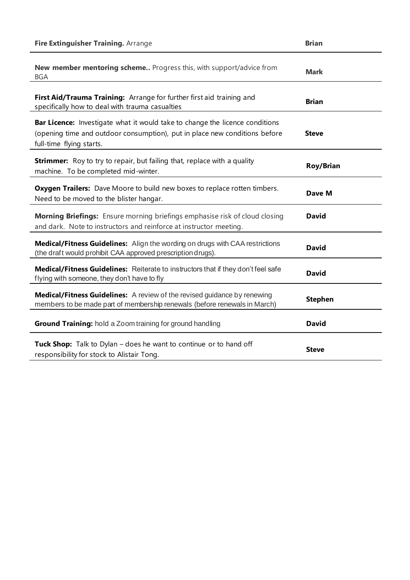| Fire Extinguisher Training. Arrange                                                                                                                                                           | <b>Brian</b>     |
|-----------------------------------------------------------------------------------------------------------------------------------------------------------------------------------------------|------------------|
| New member mentoring scheme Progress this, with support/advice from<br><b>BGA</b>                                                                                                             | <b>Mark</b>      |
| First Aid/Trauma Training: Arrange for further first aid training and<br>specifically how to deal with trauma casualties                                                                      | <b>Brian</b>     |
| <b>Bar Licence:</b> Investigate what it would take to change the licence conditions<br>(opening time and outdoor consumption), put in place new conditions before<br>full-time flying starts. | <b>Steve</b>     |
| <b>Strimmer:</b> Roy to try to repair, but failing that, replace with a quality<br>machine. To be completed mid-winter.                                                                       | <b>Roy/Brian</b> |
| Oxygen Trailers: Dave Moore to build new boxes to replace rotten timbers.<br>Need to be moved to the blister hangar.                                                                          | Dave M           |
| Morning Briefings: Ensure morning briefings emphasise risk of cloud closing<br>and dark. Note to instructors and reinforce at instructor meeting.                                             | <b>David</b>     |
| Medical/Fitness Guidelines: Align the wording on drugs with CAA restrictions<br>(the draft would prohibit CAA approved prescription drugs).                                                   | <b>David</b>     |
| Medical/Fitness Guidelines: Reiterate to instructors that if they don't feel safe<br>flying with someone, they don't have to fly                                                              | <b>David</b>     |
| <b>Medical/Fitness Guidelines:</b> A review of the revised guidance by renewing<br>members to be made part of membership renewals (before renewals in March)                                  | <b>Stephen</b>   |
| Ground Training: hold a Zoom training for ground handling                                                                                                                                     | <b>David</b>     |
| <b>Tuck Shop:</b> Talk to Dylan – does he want to continue or to hand off<br>responsibility for stock to Alistair Tong.                                                                       | <b>Steve</b>     |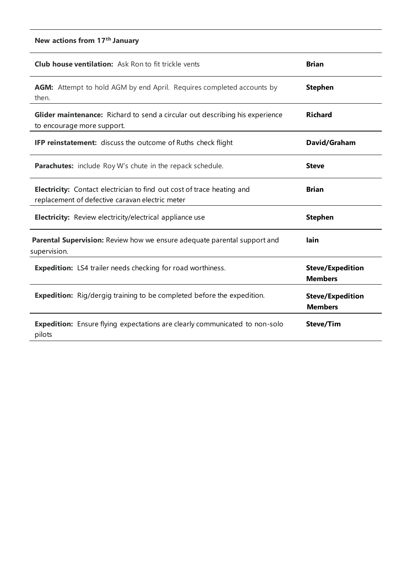### **New actions from 17th January**

| <b>Club house ventilation:</b> Ask Ron to fit trickle vents                                                                      | <b>Brian</b>                              |
|----------------------------------------------------------------------------------------------------------------------------------|-------------------------------------------|
| <b>AGM:</b> Attempt to hold AGM by end April. Requires completed accounts by<br>then.                                            | <b>Stephen</b>                            |
| Glider maintenance: Richard to send a circular out describing his experience<br>to encourage more support.                       | <b>Richard</b>                            |
| <b>IFP reinstatement:</b> discuss the outcome of Ruths check flight                                                              | David/Graham                              |
| <b>Parachutes:</b> include Roy W's chute in the repack schedule.                                                                 | <b>Steve</b>                              |
| <b>Electricity:</b> Contact electrician to find out cost of trace heating and<br>replacement of defective caravan electric meter | <b>Brian</b>                              |
| <b>Electricity:</b> Review electricity/electrical appliance use                                                                  | <b>Stephen</b>                            |
| Parental Supervision: Review how we ensure adequate parental support and<br>supervision.                                         | lain                                      |
| <b>Expedition:</b> LS4 trailer needs checking for road worthiness.                                                               | <b>Steve/Expedition</b><br><b>Members</b> |
| <b>Expedition:</b> Rig/dergig training to be completed before the expedition.                                                    | <b>Steve/Expedition</b><br><b>Members</b> |
| <b>Expedition:</b> Ensure flying expectations are clearly communicated to non-solo<br>pilots                                     | <b>Steve/Tim</b>                          |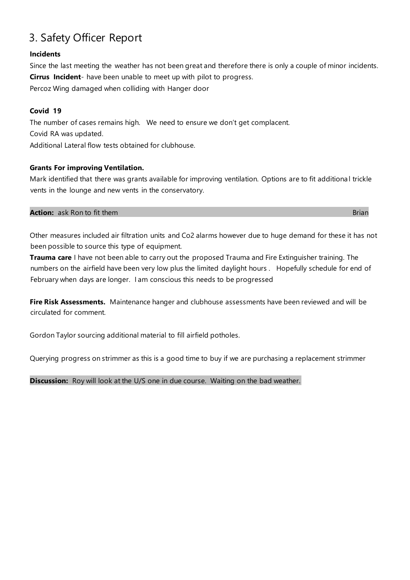## 3. Safety Officer Report

#### **Incidents**

Since the last meeting the weather has not been great and therefore there is only a couple of minor incidents. **Cirrus Incident**- have been unable to meet up with pilot to progress. Percoz Wing damaged when colliding with Hanger door

#### **Covid 19**

The number of cases remains high. We need to ensure we don't get complacent. Covid RA was updated.

Additional Lateral flow tests obtained for clubhouse.

#### **Grants For improving Ventilation.**

Mark identified that there was grants available for improving ventilation. Options are to fit additiona l trickle vents in the lounge and new vents in the conservatory.

#### **Action:** ask Ron to fit them **Brian Brian Brian Brian Brian Brian Brian Brian Brian Brian Brian Brian**

Other measures included air filtration units and Co2 alarms however due to huge demand for these it has not been possible to source this type of equipment.

**Trauma care** I have not been able to carry out the proposed Trauma and Fire Extinguisher training. The numbers on the airfield have been very low plus the limited daylight hours . Hopefully schedule for end of February when days are longer. I am conscious this needs to be progressed

**Fire Risk Assessments.** Maintenance hanger and clubhouse assessments have been reviewed and will be circulated for comment.

Gordon Taylor sourcing additional material to fill airfield potholes.

Querying progress on strimmer as this is a good time to buy if we are purchasing a replacement strimmer

**Discussion:** Roy will look at the U/S one in due course. Waiting on the bad weather.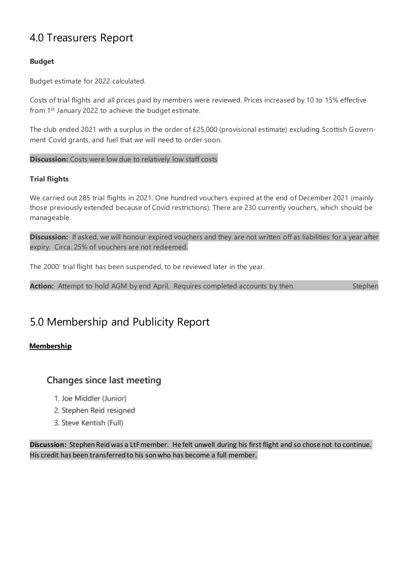### 4.0 Treasurers Report

#### **Budget**

Budget estimate for 2022 calculated.

Costs of trial flights and all prices paid by members were reviewed. Prices increased by 10 to 15% effective from 1st January 2022 to achieve the budget estimate.

The club ended 2021 with a surplus in the order of £25,000 (provisional estimate) excluding Scottish Government Covid grants, and fuel that we will need to order soon.

#### **Discussion:** Costs were low due to relatively low staff costs

#### **Trial flights**

We carried out 285 trial flights in 2021. One hundred vouchers expired at the end of December 2021 (mainly those previously extended because of Covid restrictions). There are 230 currently vouchers, which should be manageable.

**Discussion:** If asked, we will honour expired vouchers and they are not written off as liabilities for a year after expiry. Circa. 25% of vouchers are not redeemed.

The 2000' trial flight has been suspended, to be reviewed later in the year.

Action: Attempt to hold AGM by end April. Requires completed accounts by then. Stephen

### 5.0 Membership and Publicity Report

#### **Membership**

### **Changes since last meeting**

- 1. Joe Middler (Junior)
- 2. Stephen Reid resigned
- 3. Steve Kentish (Full)

**Discussion:** Stephen Reid was a LtF member. He felt unwell during his first flight and so chose not to continue. His credit has been transferred to his son who has become a full member.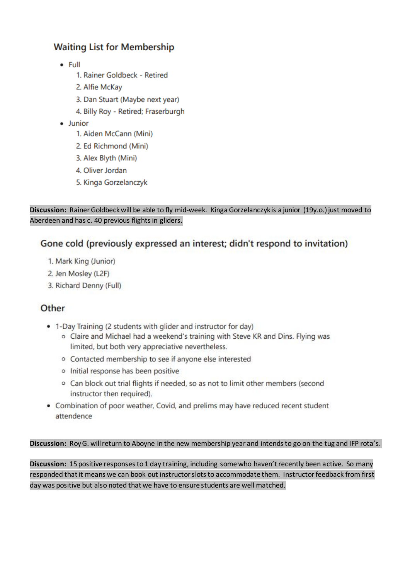### **Waiting List for Membership**

- $\bullet$  Full
	- 1. Rainer Goldbeck Retired
	- 2. Alfie McKav
	- 3. Dan Stuart (Maybe next year)
	- 4. Billy Roy Retired; Fraserburgh
- · Junior
	- 1. Aiden McCann (Mini)
	- 2. Ed Richmond (Mini)
	- 3. Alex Blyth (Mini)
	- 4. Oliver Jordan
	- 5. Kinga Gorzelanczyk

**Discussion:** Rainer Goldbeck will be able to fly mid-week. Kinga Gorzelanczyk is a junior (19y.o.) just moved to Aberdeen and has c. 40 previous flights in gliders.

### Gone cold (previously expressed an interest; didn't respond to invitation)

- 1. Mark King (Junior)
- 2. Jen Mosley (L2F)
- 3. Richard Denny (Full)

### Other

- 1-Day Training (2 students with glider and instructor for day)
	- o Claire and Michael had a weekend's training with Steve KR and Dins. Flying was limited, but both very appreciative nevertheless.
	- o Contacted membership to see if anyone else interested
	- o Initial response has been positive
	- o Can block out trial flights if needed, so as not to limit other members (second instructor then required).
- Combination of poor weather, Covid, and prelims may have reduced recent student attendence

#### **Discussion:** Roy G. will return to Aboyne in the new membership year and intends to go on the tug and IFP rota's.

**Discussion:** 15 positive responses to 1 day training, including some who haven't recently been active. So many responded that it means we can book out instructor slots to accommodate them. Instructor feedback from first day was positive but also noted that we have to ensure students are well matched.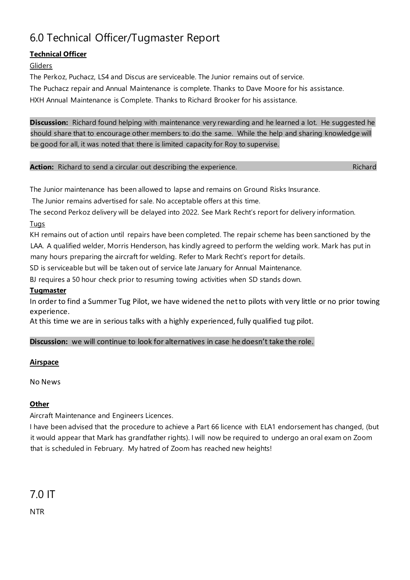## 6.0 Technical Officer/Tugmaster Report

#### **Technical Officer**

#### Gliders

The Perkoz, Puchacz, LS4 and Discus are serviceable. The Junior remains out of service. The Puchacz repair and Annual Maintenance is complete. Thanks to Dave Moore for his assistance. HXH Annual Maintenance is Complete. Thanks to Richard Brooker for his assistance.

**Discussion:** Richard found helping with maintenance very rewarding and he learned a lot. He suggested he should share that to encourage other members to do the same. While the help and sharing knowledge will be good for all, it was noted that there is limited capacity for Roy to supervise.

|  | <b>Action:</b> Richard to send a circular out describing the experience. | Richard |
|--|--------------------------------------------------------------------------|---------|
|--|--------------------------------------------------------------------------|---------|

The Junior maintenance has been allowed to lapse and remains on Ground Risks Insurance.

The Junior remains advertised for sale. No acceptable offers at this time.

The second Perkoz delivery will be delayed into 2022. See Mark Recht's report for delivery information.

#### **Tugs**

KH remains out of action until repairs have been completed. The repair scheme has been sanctioned by the LAA. A qualified welder, Morris Henderson, has kindly agreed to perform the welding work. Mark has put in many hours preparing the aircraft for welding. Refer to Mark Recht's report for details.

SD is serviceable but will be taken out of service late January for Annual Maintenance.

BJ requires a 50 hour check prior to resuming towing activities when SD stands down.

#### **Tugmaster**

In order to find a Summer Tug Pilot, we have widened the net to pilots with very little or no prior towing experience.

At this time we are in serious talks with a highly experienced, fully qualified tug pilot.

#### **Discussion:** we will continue to look for alternatives in case he doesn't take the role.

#### **Airspace**

No News

#### **Other**

Aircraft Maintenance and Engineers Licences.

I have been advised that the procedure to achieve a Part 66 licence with ELA1 endorsement has changed, (but it would appear that Mark has grandfather rights). I will now be required to undergo an oral exam on Zoom that is scheduled in February. My hatred of Zoom has reached new heights!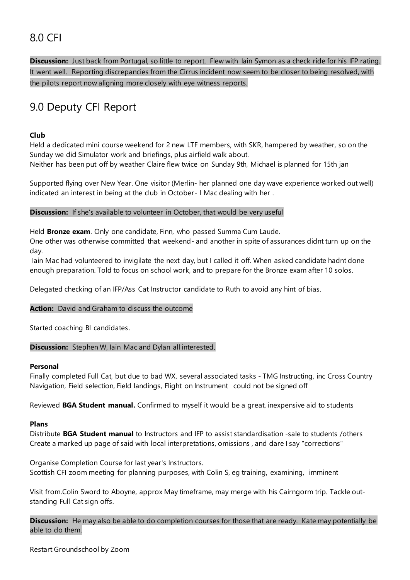## 8.0 CFI

**Discussion:** Just back from Portugal, so little to report. Flew with Iain Symon as a check ride for his IFP rating. It went well. Reporting discrepancies from the Cirrus incident now seem to be closer to being resolved, with the pilots report now aligning more closely with eye witness reports.

## 9.0 Deputy CFI Report

#### **Club**

Held a dedicated mini course weekend for 2 new LTF members, with SKR, hampered by weather, so on the Sunday we did Simulator work and briefings, plus airfield walk about.

Neither has been put off by weather Claire flew twice on Sunday 9th, Michael is planned for 15th jan

Supported flying over New Year. One visitor (Merlin- her planned one day wave experience worked out well) indicated an interest in being at the club in October- I Mac dealing with her .

#### **Discussion:** If she's available to volunteer in October, that would be very useful

Held **Bronze exam**. Only one candidate, Finn, who passed Summa Cum Laude.

One other was otherwise committed that weekend- and another in spite of assurances didnt turn up on the day.

Iain Mac had volunteered to invigilate the next day, but I called it off. When asked candidate hadnt done enough preparation. Told to focus on school work, and to prepare for the Bronze exam after 10 solos.

Delegated checking of an IFP/Ass Cat Instructor candidate to Ruth to avoid any hint of bias.

#### **Action:** David and Graham to discuss the outcome

Started coaching BI candidates.

#### **Discussion:** Stephen W, Iain Mac and Dylan all interested.

#### **Personal**

Finally completed Full Cat, but due to bad WX, several associated tasks - TMG Instructing, inc Cross Country Navigation, Field selection, Field landings, Flight on Instrument could not be signed off

Reviewed **BGA Student manual.** Confirmed to myself it would be a great, inexpensive aid to students

#### **Plans**

Distribute **BGA Student manual** to Instructors and IFP to assist standardisation -sale to students /others Create a marked up page of said with local interpretations, omissions , and dare I say "corrections"

Organise Completion Course for last year's Instructors. Scottish CFI zoom meeting for planning purposes, with Colin S, eg training, examining, imminent

Visit from.Colin Sword to Aboyne, approx May timeframe, may merge with his Cairngorm trip. Tackle outstanding Full Cat sign offs.

**Discussion:** He may also be able to do completion courses for those that are ready. Kate may potentially be able to do them.

Restart Groundschool by Zoom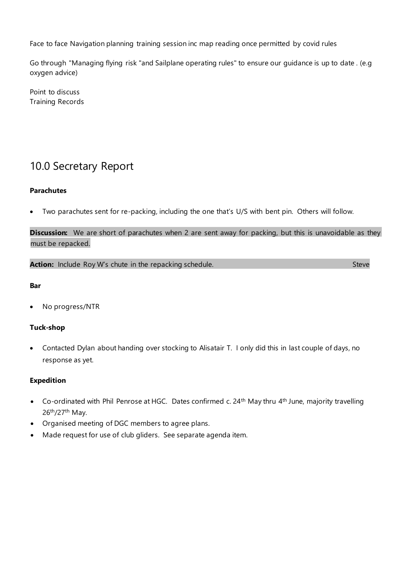Face to face Navigation planning training session inc map reading once permitted by covid rules

Go through "Managing flying risk "and Sailplane operating rules" to ensure our guidance is up to date . (e.g oxygen advice)

Point to discuss Training Records

### 10.0 Secretary Report

#### **Parachutes**

Two parachutes sent for re-packing, including the one that's U/S with bent pin. Others will follow.

**Discussion:** We are short of parachutes when 2 are sent away for packing, but this is unavoidable as they must be repacked.

**Action:** Include Roy W's chute in the repacking schedule.

#### **Bar**

• No progress/NTR

#### **Tuck-shop**

• Contacted Dylan about handing over stocking to Alisatair T. I only did this in last couple of days, no response as yet.

#### **Expedition**

- Co-ordinated with Phil Penrose at HGC. Dates confirmed c. 24<sup>th</sup> May thru 4<sup>th</sup> June, majority travelling 26th/27th May.
- Organised meeting of DGC members to agree plans.
- Made request for use of club gliders. See separate agenda item.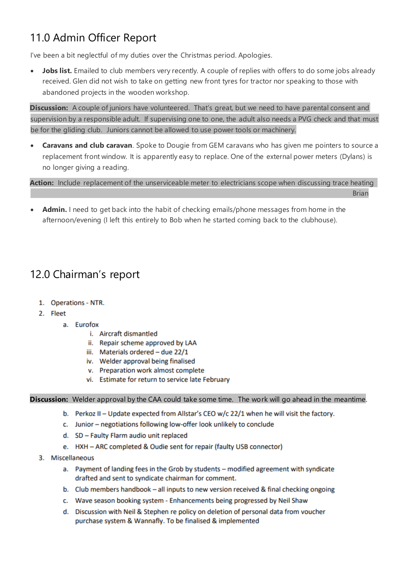## 11.0 Admin Officer Report

I've been a bit neglectful of my duties over the Christmas period. Apologies.

• **Jobs list.** Emailed to club members very recently. A couple of replies with offers to do some jobs already received. Glen did not wish to take on getting new front tyres for tractor nor speaking to those with abandoned projects in the wooden workshop.

**Discussion:** A couple of juniors have volunteered. That's great, but we need to have parental consent and supervision by a responsible adult. If supervising one to one, the adult also needs a PVG check and that must be for the gliding club. Juniors cannot be allowed to use power tools or machinery.

• **Caravans and club caravan**. Spoke to Dougie from GEM caravans who has given me pointers to source a replacement front window. It is apparently easy to replace. One of the external power meters (Dylans) is no longer giving a reading.

**Action:** Include replacement of the unserviceable meter to electricians scope when discussing trace heating

- Brian
- **Admin.** I need to get back into the habit of checking emails/phone messages from home in the afternoon/evening (I left this entirely to Bob when he started coming back to the clubhouse).

## 12.0 Chairman's report

- 1. Operations NTR.
- 2. Fleet
	- a. Eurofox
		- i. Aircraft dismantled
		- ii. Repair scheme approved by LAA
		- iii. Materials ordered due 22/1
		- iv. Welder approval being finalised
		- v. Preparation work almost complete
		- vi. Estimate for return to service late February

#### **Discussion:** Welder approval by the CAA could take some time. The work will go ahead in the meantime.

- b. Perkoz II Update expected from Allstar's CEO w/c 22/1 when he will visit the factory.
- c. Junior negotiations following low-offer look unlikely to conclude
- d. SD Faulty Flarm audio unit replaced
- e. HXH ARC completed & Oudie sent for repair (faulty USB connector)
- 3. Miscellaneous
	- a. Payment of landing fees in the Grob by students modified agreement with syndicate drafted and sent to syndicate chairman for comment.
	- b. Club members handbook all inputs to new version received & final checking ongoing
	- c. Wave season booking system Enhancements being progressed by Neil Shaw
	- d. Discussion with Neil & Stephen re policy on deletion of personal data from voucher purchase system & Wannafly. To be finalised & implemented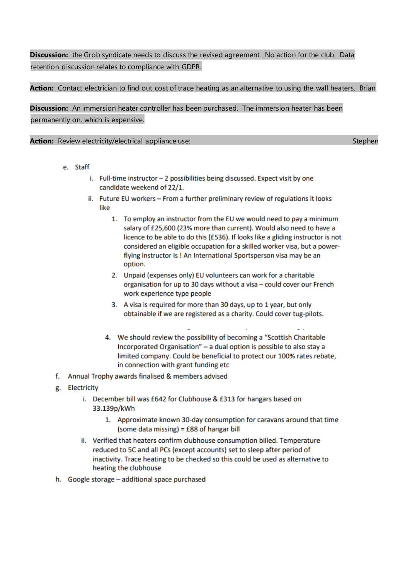### **Discussion:** the Grob syndicate needs to discuss the revised agreement. No action for the club. Data retention discussion relates to compliance with GDPR.

#### **Action:** Contact electrician to find out cost of trace heating as an alternative to using the wall heaters. Brian

**Discussion:** An immersion heater controller has been purchased. The immersion heater has been permanently on, which is expensive.

**Action:** Review electricity/electrical appliance use: Stephen Stephen Stephen Stephen Stephen

- e. Staff
	- i. Full-time instructor 2 possibilities being discussed. Expect visit by one candidate weekend of 22/1.
	- ii. Future EU workers From a further preliminary review of regulations it looks like
		- 1. To employ an instructor from the EU we would need to pay a minimum salary of £25,600 (23% more than current). Would also need to have a licence to be able to do this (£536). If looks like a gliding instructor is not considered an eligible occupation for a skilled worker visa, but a powerflying instructor is ! An International Sportsperson visa may be an option.
		- 2. Unpaid (expenses only) EU volunteers can work for a charitable organisation for up to 30 days without a visa - could cover our French work experience type people
		- 3. A visa is required for more than 30 days, up to 1 year, but only obtainable if we are registered as a charity. Could cover tug-pilots.
		- 4. We should review the possibility of becoming a "Scottish Charitable" Incorporated Organisation" - a dual option is possible to also stay a limited company. Could be beneficial to protect our 100% rates rebate, in connection with grant funding etc
- f. Annual Trophy awards finalised & members advised
- g. Electricity
	- i. December bill was £642 for Clubhouse & £313 for hangars based on 33.139p/kWh
		- 1. Approximate known 30-day consumption for caravans around that time (some data missing) = £88 of hangar bill
	- ii. Verified that heaters confirm clubhouse consumption billed. Temperature reduced to 5C and all PCs (except accounts) set to sleep after period of inactivity. Trace heating to be checked so this could be used as alternative to heating the clubhouse
- h. Google storage additional space purchased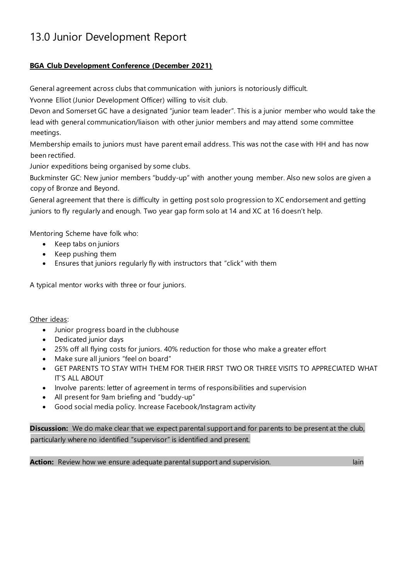## 13.0 Junior Development Report

#### **BGA Club Development Conference (December 2021)**

General agreement across clubs that communication with juniors is notoriously difficult.

Yvonne Elliot (Junior Development Officer) willing to visit club.

Devon and Somerset GC have a designated "junior team leader". This is a junior member who would take the lead with general communication/liaison with other junior members and may attend some committee meetings.

Membership emails to juniors must have parent email address. This was not the case with HH and has now been rectified.

Junior expeditions being organised by some clubs.

Buckminster GC: New junior members "buddy-up" with another young member. Also new solos are given a copy of Bronze and Beyond.

General agreement that there is difficulty in getting post solo progression to XC endorsement and getting juniors to fly regularly and enough. Two year gap form solo at 14 and XC at 16 doesn't help.

Mentoring Scheme have folk who:

- Keep tabs on juniors
- Keep pushing them
- Ensures that juniors regularly fly with instructors that "click" with them

A typical mentor works with three or four juniors.

Other ideas:

- Junior progress board in the clubhouse
- Dedicated junior days
- 25% off all flying costs for juniors. 40% reduction for those who make a greater effort
- Make sure all juniors "feel on board"
- GET PARENTS TO STAY WITH THEM FOR THEIR FIRST TWO OR THREE VISITS TO APPRECIATED WHAT IT'S ALL ABOUT
- Involve parents: letter of agreement in terms of responsibilities and supervision
- All present for 9am briefing and "buddy-up"
- Good social media policy. Increase Facebook/Instagram activity

**Discussion:** We do make clear that we expect parental support and for parents to be present at the club, particularly where no identified "supervisor" is identified and present.

**Action:** Review how we ensure adequate parental support and supervision. In the same of the lain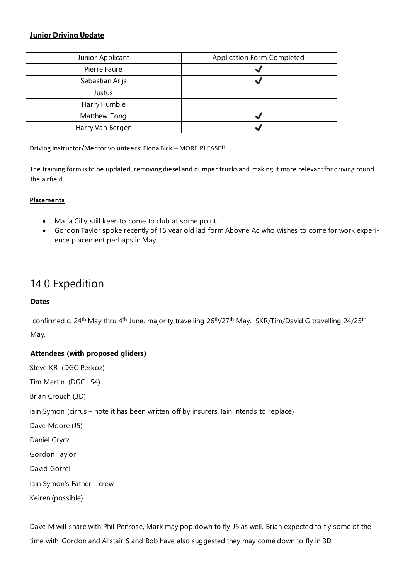#### **Junior Driving Update**

| Junior Applicant | Application Form Completed |
|------------------|----------------------------|
| Pierre Faure     |                            |
| Sebastian Arijs  |                            |
| Justus           |                            |
| Harry Humble     |                            |
| Matthew Tong     |                            |
| Harry Van Bergen |                            |

Driving Instructor/Mentor volunteers: Fiona Bick – MORE PLEASE!!

The training form is to be updated, removing diesel and dumper trucks and making it more relevant for driving round the airfield.

#### **Placements**

- Matia Cilly still keen to come to club at some point.
- Gordon Taylor spoke recently of 15 year old lad form Aboyne Ac who wishes to come for work experience placement perhaps in May.

### 14.0 Expedition

#### **Dates**

confirmed c. 24<sup>th</sup> May thru 4<sup>th</sup> June, majority travelling 26<sup>th</sup>/27<sup>th</sup> May. SKR/Tim/David G travelling 24/25<sup>th</sup> May.

#### **Attendees (with proposed gliders)**

Steve KR (DGC Perkoz)

Tim Martin (DGC LS4)

Brian Crouch (3D)

Iain Symon (cirrus – note it has been written off by insurers, Iain intends to replace)

Dave Moore (J5)

Daniel Grycz

Gordon Taylor

David Gorrel

Iain Symon's Father - crew

Keiren (possible)

Dave M will share with Phil Penrose, Mark may pop down to fly J5 as well. Brian expected to fly some of the time with Gordon and Alistair S and Bob have also suggested they may come down to fly in 3D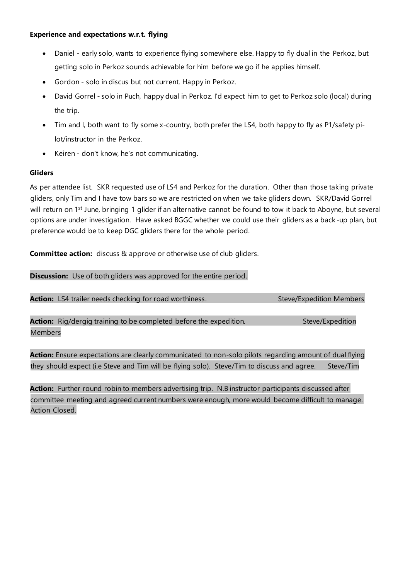- Daniel early solo, wants to experience flying somewhere else. Happy to fly dual in the Perkoz, but getting solo in Perkoz sounds achievable for him before we go if he applies himself.
- Gordon solo in discus but not current. Happy in Perkoz.
- David Gorrel solo in Puch, happy dual in Perkoz. I'd expect him to get to Perkoz solo (local) during the trip.
- Tim and I, both want to fly some x-country, both prefer the LS4, both happy to fly as P1/safety pilot/instructor in the Perkoz.
- Keiren don't know, he's not communicating.

#### **Gliders**

As per attendee list. SKR requested use of LS4 and Perkoz for the duration. Other than those taking private gliders, only Tim and I have tow bars so we are restricted on when we take gliders down. SKR/David Gorrel will return on 1<sup>st</sup> June, bringing 1 glider if an alternative cannot be found to tow it back to Aboyne, but several options are under investigation. Have asked BGGC whether we could use their gliders as a back -up plan, but preference would be to keep DGC gliders there for the whole period.

**Committee action:** discuss & approve or otherwise use of club gliders.

**Discussion:** Use of both gliders was approved for the entire period.

Action: LS4 trailer needs checking for road worthiness. Steve/Expedition Members

**Action:** Rig/dergig training to be completed before the expedition. Steve/Expedition Members

**Action:** Ensure expectations are clearly communicated to non-solo pilots regarding amount of dual flying they should expect (i.e Steve and Tim will be flying solo). Steve/Tim to discuss and agree. Steve/Tim

**Action:** Further round robin to members advertising trip. N.B instructor participants discussed after committee meeting and agreed current numbers were enough, more would become difficult to manage. Action Closed.